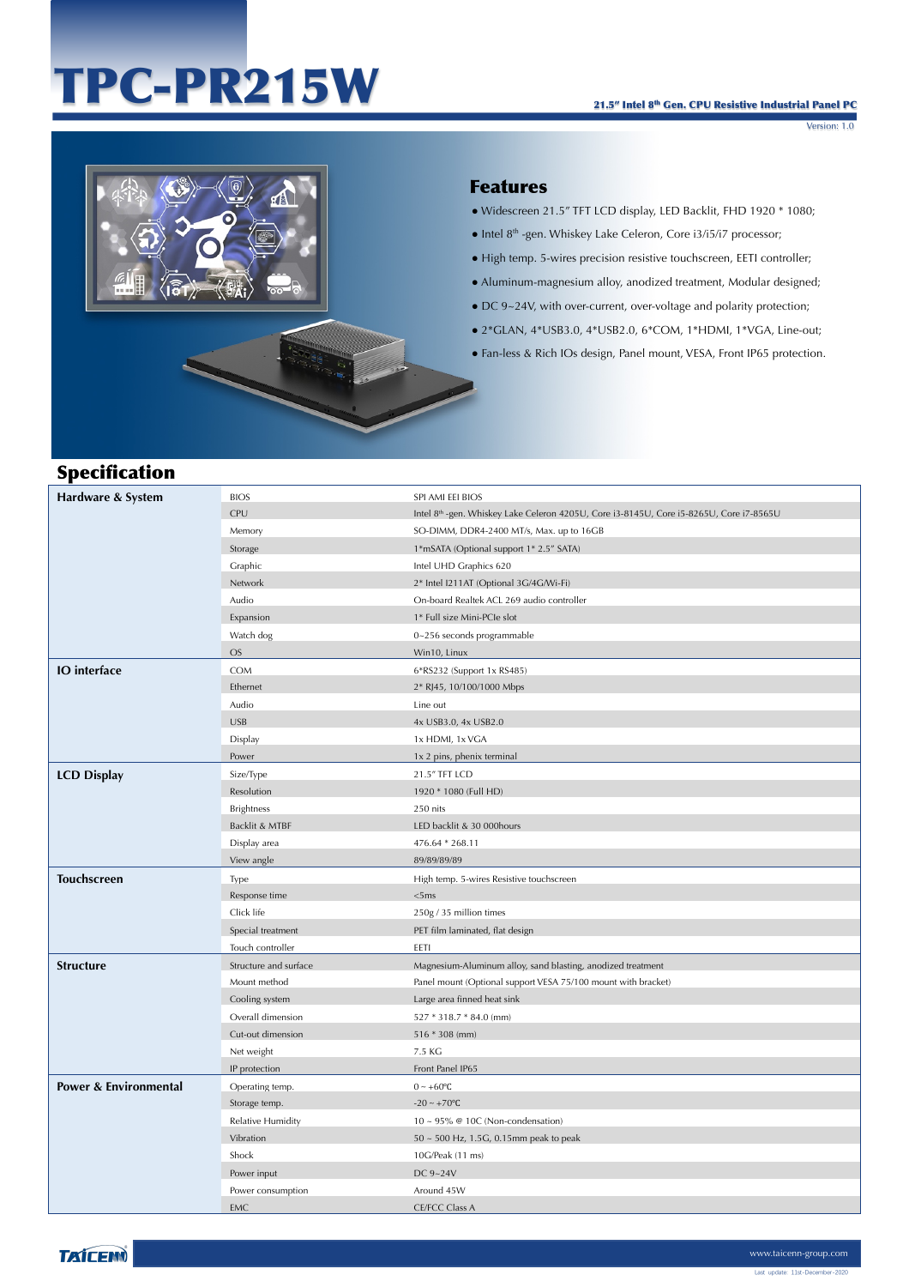# TPC-PR215W

Version: 1.0



#### Features

- Widescreen 21.5" TFT LCD display, LED Backlit, FHD 1920 \* 1080;
- Intel 8th -gen. Whiskey Lake Celeron, Core i3/i5/i7 processor;
- High temp. 5-wires precision resistive touchscreen, EETI controller;
- Aluminum-magnesium alloy, anodized treatment, Modular designed;
- DC 9~24V, with over-current, over-voltage and polarity protection;
- 2\*GLAN, 4\*USB3.0, 4\*USB2.0, 6\*COM, 1\*HDMI, 1\*VGA, Line-out;
- Fan-less & Rich IOs design, Panel mount, VESA, Front IP65 protection.

## Specification

| Hardware & System                | <b>BIOS</b>           | SPI AMI EEI BIOS                                                                        |
|----------------------------------|-----------------------|-----------------------------------------------------------------------------------------|
|                                  | CPU                   | Intel 8th -gen. Whiskey Lake Celeron 4205U, Core i3-8145U, Core i5-8265U, Core i7-8565U |
|                                  | Memory                | SO-DIMM, DDR4-2400 MT/s, Max. up to 16GB                                                |
|                                  | Storage               | 1*mSATA (Optional support 1* 2.5" SATA)                                                 |
|                                  | Graphic               | Intel UHD Graphics 620                                                                  |
|                                  | Network               | 2* Intel I211AT (Optional 3G/4G/Wi-Fi)                                                  |
|                                  | Audio                 | On-board Realtek ACL 269 audio controller                                               |
|                                  | Expansion             | 1* Full size Mini-PCIe slot                                                             |
|                                  | Watch dog             | 0~256 seconds programmable                                                              |
|                                  | <b>OS</b>             | Win10, Linux                                                                            |
| <b>IO</b> interface              | <b>COM</b>            | 6*RS232 (Support 1x RS485)                                                              |
|                                  | Ethernet              | 2* RJ45, 10/100/1000 Mbps                                                               |
|                                  | Audio                 | Line out                                                                                |
|                                  | <b>USB</b>            | 4x USB3.0, 4x USB2.0                                                                    |
|                                  | Display               | 1x HDMI, 1x VGA                                                                         |
|                                  | Power                 | 1x 2 pins, phenix terminal                                                              |
| <b>LCD Display</b>               | Size/Type             | 21.5" TFT LCD                                                                           |
|                                  | Resolution            | 1920 * 1080 (Full HD)                                                                   |
|                                  | <b>Brightness</b>     | 250 nits                                                                                |
|                                  | Backlit & MTBF        | LED backlit & 30 000hours                                                               |
|                                  | Display area          | 476.64 * 268.11                                                                         |
|                                  |                       |                                                                                         |
|                                  | View angle            | 89/89/89/89                                                                             |
| <b>Touchscreen</b>               | Type                  | High temp. 5-wires Resistive touchscreen                                                |
|                                  | Response time         | <5ms                                                                                    |
|                                  | Click life            | 250g / 35 million times                                                                 |
|                                  | Special treatment     | PET film laminated, flat design                                                         |
|                                  | Touch controller      | EETI                                                                                    |
| <b>Structure</b>                 | Structure and surface | Magnesium-Aluminum alloy, sand blasting, anodized treatment                             |
|                                  | Mount method          | Panel mount (Optional support VESA 75/100 mount with bracket)                           |
|                                  | Cooling system        | Large area finned heat sink                                                             |
|                                  | Overall dimension     | 527 * 318.7 * 84.0 (mm)                                                                 |
|                                  | Cut-out dimension     | 516 * 308 (mm)                                                                          |
|                                  | Net weight            | 7.5 KG                                                                                  |
|                                  | IP protection         | Front Panel IP65                                                                        |
| <b>Power &amp; Environmental</b> | Operating temp.       | $0 \sim +60$ °C                                                                         |
|                                  | Storage temp.         | $-20 - +70$ °C                                                                          |
|                                  | Relative Humidity     | $10 \sim 95\%$ @ 10C (Non-condensation)                                                 |
|                                  | Vibration             | 50 ~ 500 Hz, 1.5G, 0.15mm peak to peak                                                  |
|                                  | Shock                 | 10G/Peak (11 ms)                                                                        |
|                                  | Power input           | DC 9~24V                                                                                |
|                                  | Power consumption     | Around 45W                                                                              |